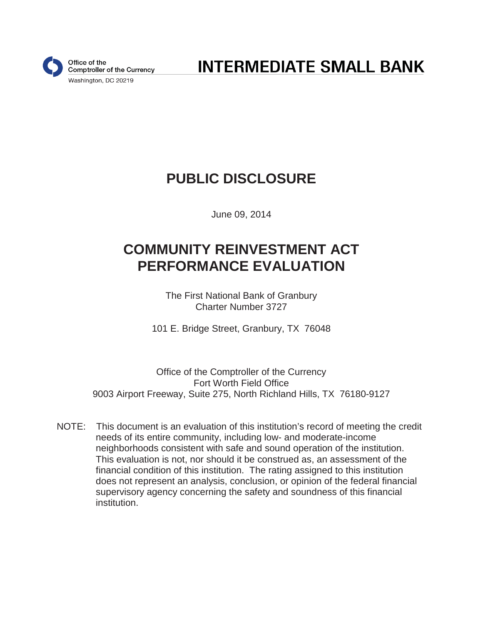

**INTERMEDIATE SMALL BANK** 

# **PUBLIC DISCLOSURE**

June 09, 2014

# **COMMUNITY REINVESTMENT ACT PERFORMANCE EVALUATION**

The First National Bank of Granbury Charter Number 3727

101 E. Bridge Street, Granbury, TX 76048

Office of the Comptroller of the Currency Fort Worth Field Office 9003 Airport Freeway, Suite 275, North Richland Hills, TX 76180-9127

NOTE: This document is an evaluation of this institution's record of meeting the credit needs of its entire community, including low- and moderate-income neighborhoods consistent with safe and sound operation of the institution. This evaluation is not, nor should it be construed as, an assessment of the financial condition of this institution. The rating assigned to this institution does not represent an analysis, conclusion, or opinion of the federal financial supervisory agency concerning the safety and soundness of this financial institution.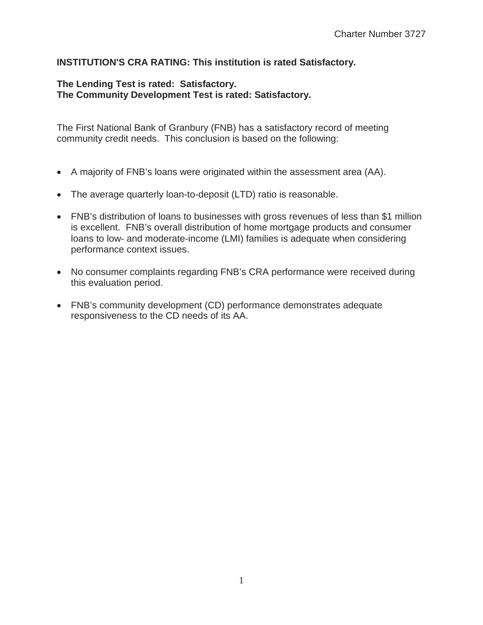### **INSTITUTION'S CRA RATING: This institution is rated Satisfactory.**

#### **The Lending Test is rated: Satisfactory. The Community Development Test is rated: Satisfactory.**

The First National Bank of Granbury (FNB) has a satisfactory record of meeting community credit needs. This conclusion is based on the following:

- A majority of FNB's loans were originated within the assessment area (AA).
- The average quarterly loan-to-deposit (LTD) ratio is reasonable.
- FNB's distribution of loans to businesses with gross revenues of less than \$1 million is excellent. FNB's overall distribution of home mortgage products and consumer loans to low- and moderate-income (LMI) families is adequate when considering performance context issues.
- No consumer complaints regarding FNB's CRA performance were received during this evaluation period.
- FNB's community development (CD) performance demonstrates adequate responsiveness to the CD needs of its AA.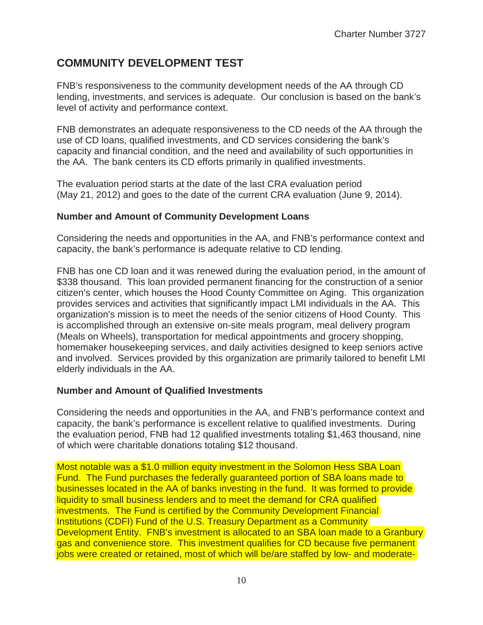## **COMMUNITY DEVELOPMENT TEST**

FNB's responsiveness to the community development needs of the AA through CD lending, investments, and services is adequate. Our conclusion is based on the bank's level of activity and performance context.

FNB demonstrates an adequate responsiveness to the CD needs of the AA through the use of CD loans, qualified investments, and CD services considering the bank's capacity and financial condition, and the need and availability of such opportunities in the AA. The bank centers its CD efforts primarily in qualified investments.

The evaluation period starts at the date of the last CRA evaluation period (May 21, 2012) and goes to the date of the current CRA evaluation (June 9, 2014).

### **Number and Amount of Community Development Loans**

Considering the needs and opportunities in the AA, and FNB's performance context and capacity, the bank's performance is adequate relative to CD lending.

FNB has one CD loan and it was renewed during the evaluation period, in the amount of \$338 thousand. This loan provided permanent financing for the construction of a senior citizen's center, which houses the Hood County Committee on Aging. This organization provides services and activities that significantly impact LMI individuals in the AA. This organization's mission is to meet the needs of the senior citizens of Hood County. This is accomplished through an extensive on-site meals program, meal delivery program (Meals on Wheels), transportation for medical appointments and grocery shopping, homemaker housekeeping services, and daily activities designed to keep seniors active and involved. Services provided by this organization are primarily tailored to benefit LMI elderly individuals in the AA.

### **Number and Amount of Qualified Investments**

Considering the needs and opportunities in the AA, and FNB's performance context and capacity, the bank's performance is excellent relative to qualified investments. During the evaluation period, FNB had 12 qualified investments totaling \$1,463 thousand, nine of which were charitable donations totaling \$12 thousand.

Most notable was a \$1.0 million equity investment in the Solomon Hess SBA Loan Fund. The Fund purchases the federally guaranteed portion of SBA loans made to businesses located in the AA of banks investing in the fund. It was formed to provide liquidity to small business lenders and to meet the demand for CRA qualified investments. The Fund is certified by the Community Development Financial Institutions (CDFI) Fund of the U.S. Treasury Department as a Community Development Entity. FNB's investment is allocated to an SBA loan made to a Granbury gas and convenience store. This investment qualifies for CD because five permanent jobs were created or retained, most of which will be/are staffed by low- and moderate